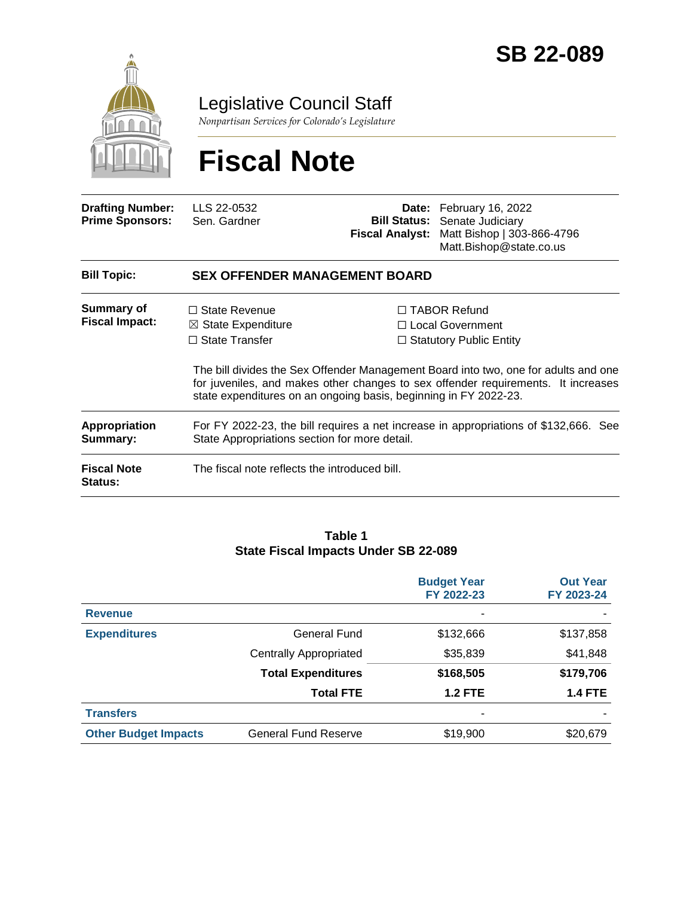

Legislative Council Staff

*Nonpartisan Services for Colorado's Legislature*

# **Fiscal Note**

| <b>Drafting Number:</b><br><b>Prime Sponsors:</b> | LLS 22-0532<br>Sen. Gardner                                                                                                                        | <b>Fiscal Analyst:</b> | Date: February 16, 2022<br><b>Bill Status:</b> Senate Judiciary<br>Matt Bishop   303-866-4796<br>Matt.Bishop@state.co.us                                                                                                                                |  |  |  |
|---------------------------------------------------|----------------------------------------------------------------------------------------------------------------------------------------------------|------------------------|---------------------------------------------------------------------------------------------------------------------------------------------------------------------------------------------------------------------------------------------------------|--|--|--|
| <b>Bill Topic:</b>                                | <b>SEX OFFENDER MANAGEMENT BOARD</b>                                                                                                               |                        |                                                                                                                                                                                                                                                         |  |  |  |
| <b>Summary of</b><br><b>Fiscal Impact:</b>        | $\Box$ State Revenue<br>$\boxtimes$ State Expenditure<br>$\Box$ State Transfer<br>state expenditures on an ongoing basis, beginning in FY 2022-23. |                        | $\Box$ TABOR Refund<br>□ Local Government<br>$\Box$ Statutory Public Entity<br>The bill divides the Sex Offender Management Board into two, one for adults and one<br>for juveniles, and makes other changes to sex offender requirements. It increases |  |  |  |
| Appropriation<br>Summary:                         | For FY 2022-23, the bill requires a net increase in appropriations of \$132,666. See<br>State Appropriations section for more detail.              |                        |                                                                                                                                                                                                                                                         |  |  |  |
| <b>Fiscal Note</b><br>Status:                     | The fiscal note reflects the introduced bill.                                                                                                      |                        |                                                                                                                                                                                                                                                         |  |  |  |

#### **Table 1 State Fiscal Impacts Under SB 22-089**

|                             |                               | <b>Budget Year</b><br>FY 2022-23 | <b>Out Year</b><br>FY 2023-24 |
|-----------------------------|-------------------------------|----------------------------------|-------------------------------|
| <b>Revenue</b>              |                               | ۰                                |                               |
| <b>Expenditures</b>         | General Fund                  | \$132,666                        | \$137,858                     |
|                             | <b>Centrally Appropriated</b> | \$35,839                         | \$41,848                      |
|                             | <b>Total Expenditures</b>     | \$168,505                        | \$179,706                     |
|                             | <b>Total FTE</b>              | <b>1.2 FTE</b>                   | <b>1.4 FTE</b>                |
| <b>Transfers</b>            |                               | -                                |                               |
| <b>Other Budget Impacts</b> | <b>General Fund Reserve</b>   | \$19,900                         | \$20,679                      |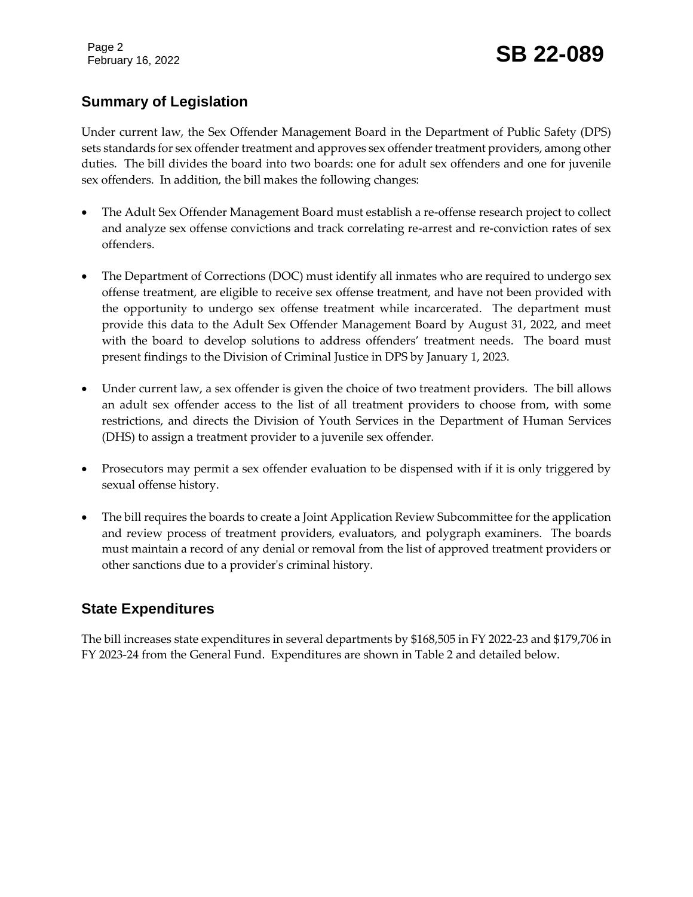Page 2

## February 16, 2022 **SB 22-089**

### **Summary of Legislation**

Under current law, the Sex Offender Management Board in the Department of Public Safety (DPS) sets standards for sex offender treatment and approves sex offender treatment providers, among other duties. The bill divides the board into two boards: one for adult sex offenders and one for juvenile sex offenders. In addition, the bill makes the following changes:

- The Adult Sex Offender Management Board must establish a re-offense research project to collect and analyze sex offense convictions and track correlating re-arrest and re-conviction rates of sex offenders.
- The Department of Corrections (DOC) must identify all inmates who are required to undergo sex offense treatment, are eligible to receive sex offense treatment, and have not been provided with the opportunity to undergo sex offense treatment while incarcerated. The department must provide this data to the Adult Sex Offender Management Board by August 31, 2022, and meet with the board to develop solutions to address offenders' treatment needs. The board must present findings to the Division of Criminal Justice in DPS by January 1, 2023.
- Under current law, a sex offender is given the choice of two treatment providers. The bill allows an adult sex offender access to the list of all treatment providers to choose from, with some restrictions, and directs the Division of Youth Services in the Department of Human Services (DHS) to assign a treatment provider to a juvenile sex offender.
- Prosecutors may permit a sex offender evaluation to be dispensed with if it is only triggered by sexual offense history.
- The bill requires the boards to create a Joint Application Review Subcommittee for the application and review process of treatment providers, evaluators, and polygraph examiners. The boards must maintain a record of any denial or removal from the list of approved treatment providers or other sanctions due to a provider's criminal history.

### **State Expenditures**

The bill increases state expenditures in several departments by \$168,505 in FY 2022-23 and \$179,706 in FY 2023-24 from the General Fund. Expenditures are shown in Table 2 and detailed below.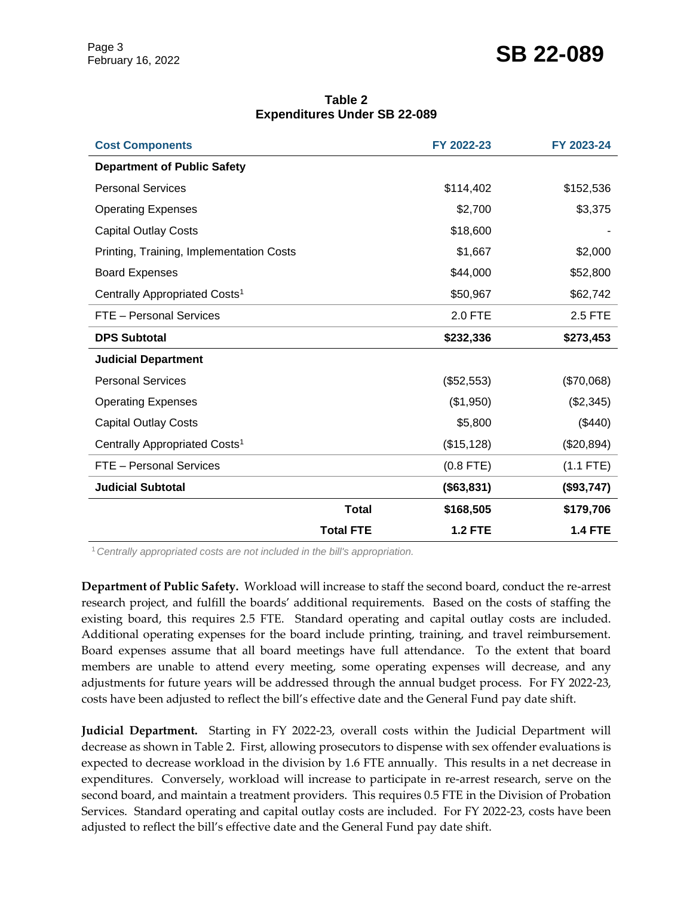### February 16, 2022 **SB 22-089**

| Table 2                             |  |  |  |  |
|-------------------------------------|--|--|--|--|
| <b>Expenditures Under SB 22-089</b> |  |  |  |  |
|                                     |  |  |  |  |

| <b>Cost Components</b>                    |                  | FY 2022-23     | FY 2023-24     |
|-------------------------------------------|------------------|----------------|----------------|
| <b>Department of Public Safety</b>        |                  |                |                |
| <b>Personal Services</b>                  |                  | \$114,402      | \$152,536      |
| <b>Operating Expenses</b>                 |                  | \$2,700        | \$3,375        |
| <b>Capital Outlay Costs</b>               |                  | \$18,600       |                |
| Printing, Training, Implementation Costs  |                  | \$1,667        | \$2,000        |
| <b>Board Expenses</b>                     |                  | \$44,000       | \$52,800       |
| Centrally Appropriated Costs <sup>1</sup> |                  | \$50,967       | \$62,742       |
| FTE - Personal Services                   |                  | 2.0 FTE        | 2.5 FTE        |
| <b>DPS Subtotal</b>                       |                  | \$232,336      | \$273,453      |
| <b>Judicial Department</b>                |                  |                |                |
| <b>Personal Services</b>                  |                  | (\$52,553)     | (\$70,068)     |
| <b>Operating Expenses</b>                 |                  | (\$1,950)      | (\$2,345)      |
| <b>Capital Outlay Costs</b>               |                  | \$5,800        | (\$440)        |
| Centrally Appropriated Costs <sup>1</sup> |                  | (\$15, 128)    | (\$20,894)     |
| FTE - Personal Services                   |                  | $(0.8$ FTE)    | $(1.1$ FTE)    |
| <b>Judicial Subtotal</b>                  |                  | (\$63,831)     | (\$93,747)     |
|                                           | <b>Total</b>     | \$168,505      | \$179,706      |
|                                           | <b>Total FTE</b> | <b>1.2 FTE</b> | <b>1.4 FTE</b> |

<sup>1</sup>*Centrally appropriated costs are not included in the bill's appropriation.*

**Department of Public Safety.** Workload will increase to staff the second board, conduct the re-arrest research project, and fulfill the boards' additional requirements. Based on the costs of staffing the existing board, this requires 2.5 FTE. Standard operating and capital outlay costs are included. Additional operating expenses for the board include printing, training, and travel reimbursement. Board expenses assume that all board meetings have full attendance. To the extent that board members are unable to attend every meeting, some operating expenses will decrease, and any adjustments for future years will be addressed through the annual budget process. For FY 2022-23, costs have been adjusted to reflect the bill's effective date and the General Fund pay date shift.

**Judicial Department.** Starting in FY 2022-23, overall costs within the Judicial Department will decrease as shown in Table 2. First, allowing prosecutors to dispense with sex offender evaluations is expected to decrease workload in the division by 1.6 FTE annually. This results in a net decrease in expenditures. Conversely, workload will increase to participate in re-arrest research, serve on the second board, and maintain a treatment providers. This requires 0.5 FTE in the Division of Probation Services. Standard operating and capital outlay costs are included. For FY 2022-23, costs have been adjusted to reflect the bill's effective date and the General Fund pay date shift.